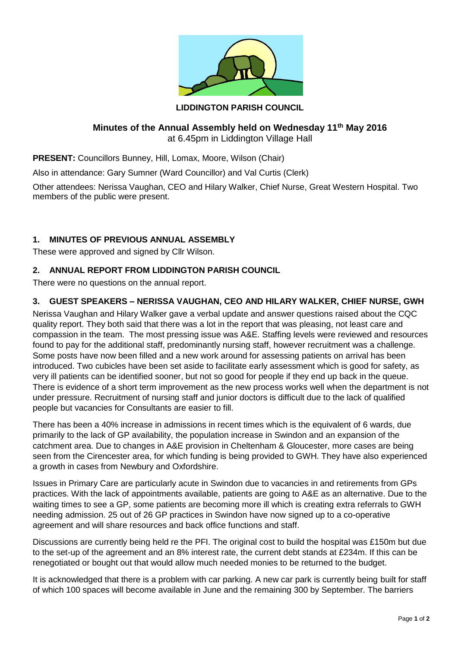

### **LIDDINGTON PARISH COUNCIL**

#### **Minutes of the Annual Assembly held on Wednesday 11th May 2016** at 6.45pm in Liddington Village Hall

**PRESENT:** Councillors Bunney, Hill, Lomax, Moore, Wilson (Chair)

Also in attendance: Gary Sumner (Ward Councillor) and Val Curtis (Clerk)

Other attendees: Nerissa Vaughan, CEO and Hilary Walker, Chief Nurse, Great Western Hospital. Two members of the public were present.

# **1. MINUTES OF PREVIOUS ANNUAL ASSEMBLY**

These were approved and signed by Cllr Wilson.

## **2. ANNUAL REPORT FROM LIDDINGTON PARISH COUNCIL**

There were no questions on the annual report.

# **3. GUEST SPEAKERS – NERISSA VAUGHAN, CEO AND HILARY WALKER, CHIEF NURSE, GWH**

Nerissa Vaughan and Hilary Walker gave a verbal update and answer questions raised about the CQC quality report. They both said that there was a lot in the report that was pleasing, not least care and compassion in the team. The most pressing issue was A&E. Staffing levels were reviewed and resources found to pay for the additional staff, predominantly nursing staff, however recruitment was a challenge. Some posts have now been filled and a new work around for assessing patients on arrival has been introduced. Two cubicles have been set aside to facilitate early assessment which is good for safety, as very ill patients can be identified sooner, but not so good for people if they end up back in the queue. There is evidence of a short term improvement as the new process works well when the department is not under pressure. Recruitment of nursing staff and junior doctors is difficult due to the lack of qualified people but vacancies for Consultants are easier to fill.

There has been a 40% increase in admissions in recent times which is the equivalent of 6 wards, due primarily to the lack of GP availability, the population increase in Swindon and an expansion of the catchment area. Due to changes in A&E provision in Cheltenham & Gloucester, more cases are being seen from the Cirencester area, for which funding is being provided to GWH. They have also experienced a growth in cases from Newbury and Oxfordshire.

Issues in Primary Care are particularly acute in Swindon due to vacancies in and retirements from GPs practices. With the lack of appointments available, patients are going to A&E as an alternative. Due to the waiting times to see a GP, some patients are becoming more ill which is creating extra referrals to GWH needing admission. 25 out of 26 GP practices in Swindon have now signed up to a co-operative agreement and will share resources and back office functions and staff.

Discussions are currently being held re the PFI. The original cost to build the hospital was £150m but due to the set-up of the agreement and an 8% interest rate, the current debt stands at £234m. If this can be renegotiated or bought out that would allow much needed monies to be returned to the budget.

It is acknowledged that there is a problem with car parking. A new car park is currently being built for staff of which 100 spaces will become available in June and the remaining 300 by September. The barriers